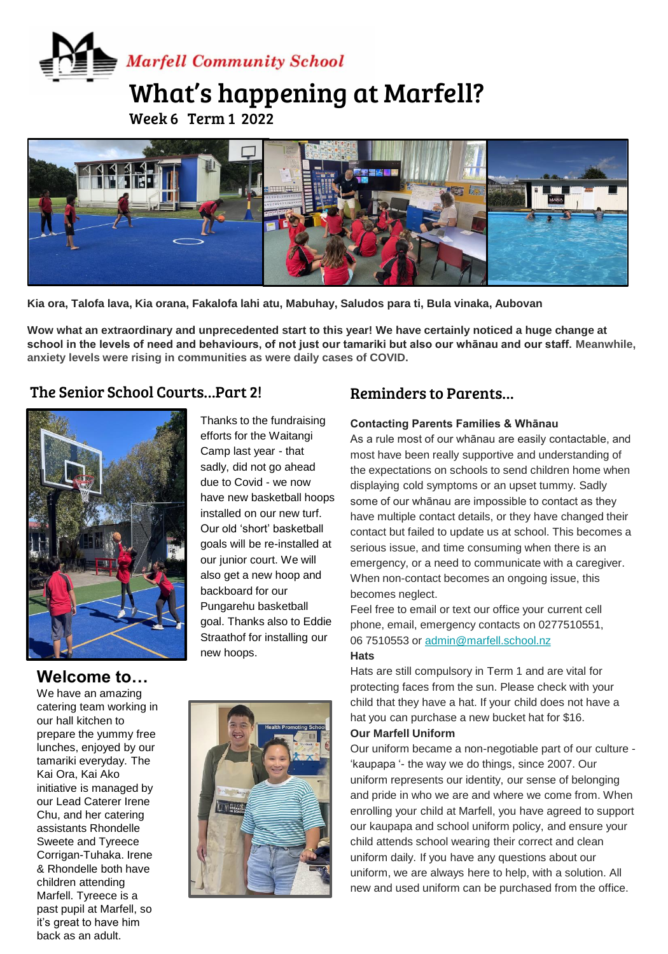# **Marfell Community School**

## What's happening at Marfell?

Week 6 Term 1 2022



**Ms Kerry Gibbons Enrichment - Ready Steady Cook Kia ora, Talofa lava, Kia orana, Fakalofa lahi atu, Mabuhay, Saludos para ti, Bula vinaka, Aubovan**

**Wow what an extraordinary and unprecedented start to this year! We have certainly noticed a huge change at school in the levels of need and behaviours, of not just our tamariki but also our whānau and our staff. Meanwhile, anxiety levels were rising in communities as were daily cases of COVID.**

## The Senior School Courts…Part 2!



Thanks to the fundraising efforts for the Waitangi Camp last year - that sadly, did not go ahead due to Covid - we now have new basketball hoops installed on our new turf. Our old 'short' basketball goals will be re-installed at our junior court. We will also get a new hoop and backboard for our Pungarehu basketball goal. Thanks also to Eddie Straathof for installing our new hoops.

## Reminders to Parents…

#### **Contacting Parents Families & Whānau**

As a rule most of our whānau are easily contactable, and most have been really supportive and understanding of the expectations on schools to send children home when displaying cold symptoms or an upset tummy. Sadly some of our whānau are impossible to contact as they have multiple contact details, or they have changed their contact but failed to update us at school. This becomes a serious issue, and time consuming when there is an emergency, or a need to communicate with a caregiver. When non-contact becomes an ongoing issue, this becomes neglect.

Feel free to email or text our office your current cell phone, email, emergency contacts on 0277510551, 06 7510553 or [admin@marfell.school.nz](mailto:admin@marfell.school.nz) **Hats**

Hats are still compulsory in Term 1 and are vital for protecting faces from the sun. Please check with your child that they have a hat. If your child does not have a hat you can purchase a new bucket hat for \$16. **Our Marfell Uniform**

Our uniform became a non-negotiable part of our culture - 'kaupapa '- the way we do things, since 2007. Our uniform represents our identity, our sense of belonging and pride in who we are and where we come from. When enrolling your child at Marfell, you have agreed to support our kaupapa and school uniform policy, and ensure your child attends school wearing their correct and clean uniform daily. If you have any questions about our uniform, we are always here to help, with a solution. All new and used uniform can be purchased from the office.

**Welcome to…** We have an amazing catering team working in our hall kitchen to prepare the yummy free lunches, enjoyed by our tamariki everyday. The Kai Ora, Kai Ako initiative is managed by our Lead Caterer Irene Chu, and her catering assistants Rhondelle Sweete and Tyreece Corrigan-Tuhaka. Irene & Rhondelle both have children attending Marfell. Tyreece is a past pupil at Marfell, so it's great to have him back as an adult.